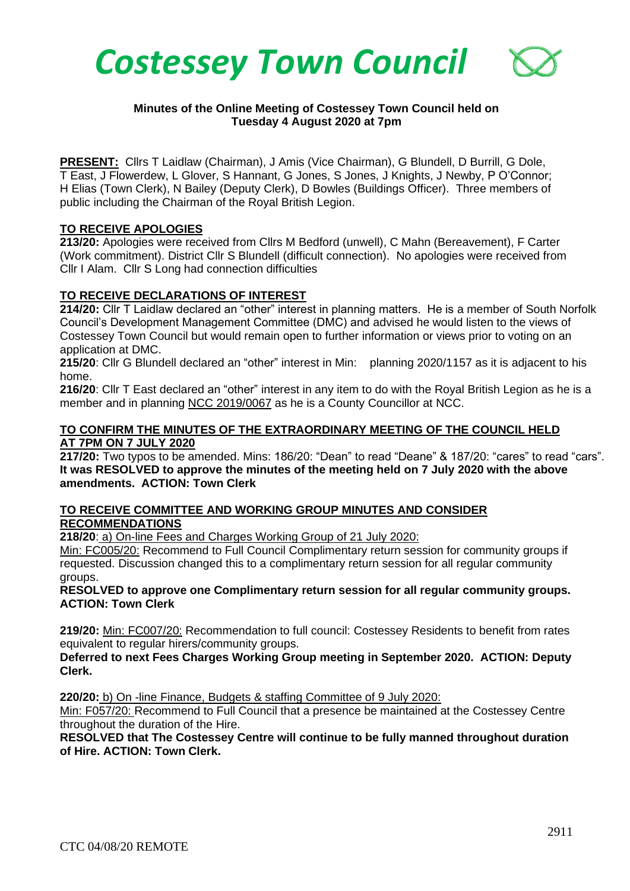

# **Minutes of the Online Meeting of Costessey Town Council held on Tuesday 4 August 2020 at 7pm**

**PRESENT:** Cllrs T Laidlaw (Chairman), J Amis (Vice Chairman), G Blundell, D Burrill, G Dole, T East, J Flowerdew, L Glover, S Hannant, G Jones, S Jones, J Knights, J Newby, P O'Connor; H Elias (Town Clerk), N Bailey (Deputy Clerk), D Bowles (Buildings Officer). Three members of public including the Chairman of the Royal British Legion.

## **TO RECEIVE APOLOGIES**

**213/20:** Apologies were received from Cllrs M Bedford (unwell), C Mahn (Bereavement), F Carter (Work commitment). District Cllr S Blundell (difficult connection). No apologies were received from Cllr I Alam. Cllr S Long had connection difficulties

#### **TO RECEIVE DECLARATIONS OF INTEREST**

**214/20:** Cllr T Laidlaw declared an "other" interest in planning matters. He is a member of South Norfolk Council's Development Management Committee (DMC) and advised he would listen to the views of Costessey Town Council but would remain open to further information or views prior to voting on an application at DMC.

**215/20**: Cllr G Blundell declared an "other" interest in Min: planning 2020/1157 as it is adjacent to his home.

**216/20**: Cllr T East declared an "other" interest in any item to do with the Royal British Legion as he is a member and in planning NCC 2019/0067 as he is a County Councillor at NCC.

### **TO CONFIRM THE MINUTES OF THE EXTRAORDINARY MEETING OF THE COUNCIL HELD AT 7PM ON 7 JULY 2020**

**217/20:** Two typos to be amended. Mins: 186/20: "Dean" to read "Deane" & 187/20: "cares" to read "cars". **It was RESOLVED to approve the minutes of the meeting held on 7 July 2020 with the above amendments. ACTION: Town Clerk**

## **TO RECEIVE COMMITTEE AND WORKING GROUP MINUTES AND CONSIDER RECOMMENDATIONS**

**218/20**: a) On-line Fees and Charges Working Group of 21 July 2020:

Min: FC005/20: Recommend to Full Council Complimentary return session for community groups if requested. Discussion changed this to a complimentary return session for all regular community groups.

**RESOLVED to approve one Complimentary return session for all regular community groups. ACTION: Town Clerk**

**219/20:** Min: FC007/20: Recommendation to full council: Costessey Residents to benefit from rates equivalent to regular hirers/community groups.

**Deferred to next Fees Charges Working Group meeting in September 2020. ACTION: Deputy Clerk.**

**220/20:** b) On -line Finance, Budgets & staffing Committee of 9 July 2020:

Min: F057/20: Recommend to Full Council that a presence be maintained at the Costessey Centre throughout the duration of the Hire.

**RESOLVED that The Costessey Centre will continue to be fully manned throughout duration of Hire. ACTION: Town Clerk.**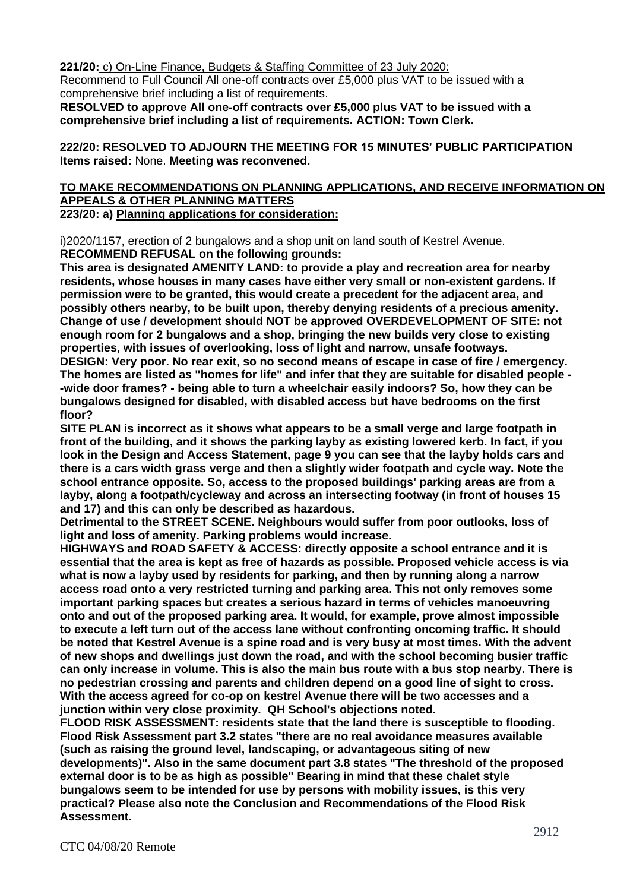**221/20:** c) On-Line Finance, Budgets & Staffing Committee of 23 July 2020:

Recommend to Full Council All one-off contracts over £5,000 plus VAT to be issued with a comprehensive brief including a list of requirements.

**RESOLVED to approve All one-off contracts over £5,000 plus VAT to be issued with a comprehensive brief including a list of requirements. ACTION: Town Clerk.**

**222/20: RESOLVED TO ADJOURN THE MEETING FOR 15 MINUTES' PUBLIC PARTICIPATION Items raised:** None. **Meeting was reconvened.**

#### **TO MAKE RECOMMENDATIONS ON PLANNING APPLICATIONS, AND RECEIVE INFORMATION ON APPEALS & OTHER PLANNING MATTERS 223/20: a) Planning applications for consideration:**

i)2020/1157, erection of 2 bungalows and a shop unit on land south of Kestrel Avenue.

**RECOMMEND REFUSAL on the following grounds:**

**This area is designated AMENITY LAND: to provide a play and recreation area for nearby residents, whose houses in many cases have either very small or non-existent gardens. If permission were to be granted, this would create a precedent for the adjacent area, and possibly others nearby, to be built upon, thereby denying residents of a precious amenity. Change of use / development should NOT be approved OVERDEVELOPMENT OF SITE: not enough room for 2 bungalows and a shop, bringing the new builds very close to existing properties, with issues of overlooking, loss of light and narrow, unsafe footways. DESIGN: Very poor. No rear exit, so no second means of escape in case of fire / emergency. The homes are listed as "homes for life" and infer that they are suitable for disabled people - -wide door frames? - being able to turn a wheelchair easily indoors? So, how they can be bungalows designed for disabled, with disabled access but have bedrooms on the first floor?** 

**SITE PLAN is incorrect as it shows what appears to be a small verge and large footpath in front of the building, and it shows the parking layby as existing lowered kerb. In fact, if you look in the Design and Access Statement, page 9 you can see that the layby holds cars and there is a cars width grass verge and then a slightly wider footpath and cycle way. Note the school entrance opposite. So, access to the proposed buildings' parking areas are from a layby, along a footpath/cycleway and across an intersecting footway (in front of houses 15 and 17) and this can only be described as hazardous.**

**Detrimental to the STREET SCENE. Neighbours would suffer from poor outlooks, loss of light and loss of amenity. Parking problems would increase.**

**HIGHWAYS and ROAD SAFETY & ACCESS: directly opposite a school entrance and it is essential that the area is kept as free of hazards as possible. Proposed vehicle access is via what is now a layby used by residents for parking, and then by running along a narrow access road onto a very restricted turning and parking area. This not only removes some important parking spaces but creates a serious hazard in terms of vehicles manoeuvring onto and out of the proposed parking area. It would, for example, prove almost impossible to execute a left turn out of the access lane without confronting oncoming traffic. It should be noted that Kestrel Avenue is a spine road and is very busy at most times. With the advent of new shops and dwellings just down the road, and with the school becoming busier traffic can only increase in volume. This is also the main bus route with a bus stop nearby. There is no pedestrian crossing and parents and children depend on a good line of sight to cross. With the access agreed for co-op on kestrel Avenue there will be two accesses and a junction within very close proximity. QH School's objections noted.**

**FLOOD RISK ASSESSMENT: residents state that the land there is susceptible to flooding. Flood Risk Assessment part 3.2 states "there are no real avoidance measures available (such as raising the ground level, landscaping, or advantageous siting of new developments)". Also in the same document part 3.8 states "The threshold of the proposed external door is to be as high as possible" Bearing in mind that these chalet style bungalows seem to be intended for use by persons with mobility issues, is this very practical? Please also note the Conclusion and Recommendations of the Flood Risk Assessment.**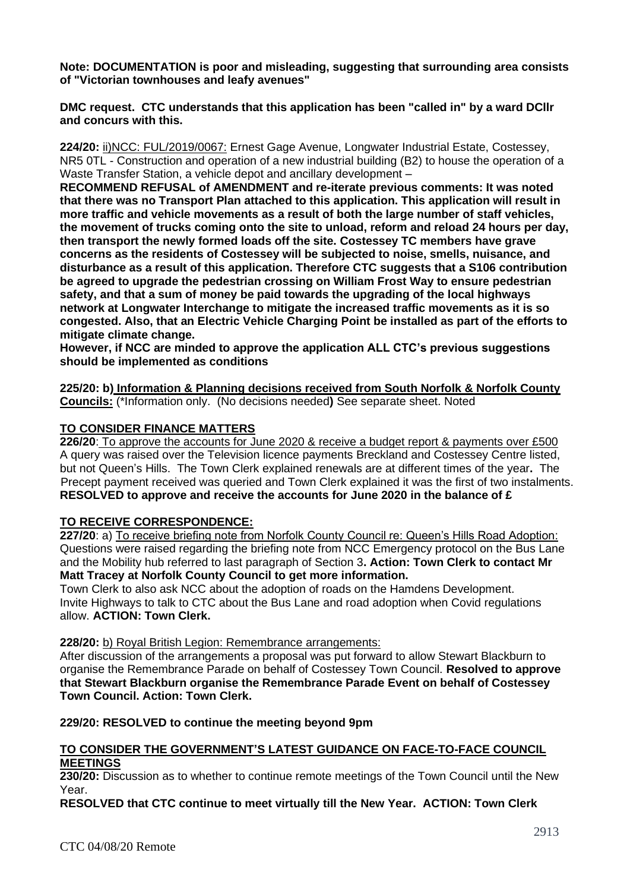**Note: DOCUMENTATION is poor and misleading, suggesting that surrounding area consists of "Victorian townhouses and leafy avenues"**

**DMC request. CTC understands that this application has been "called in" by a ward DCllr and concurs with this.**

**224/20:** ii)NCC: FUL/2019/0067: Ernest Gage Avenue, Longwater Industrial Estate, Costessey, NR5 0TL - Construction and operation of a new industrial building (B2) to house the operation of a Waste Transfer Station, a vehicle depot and ancillary development –

**RECOMMEND REFUSAL of AMENDMENT and re-iterate previous comments: It was noted that there was no Transport Plan attached to this application. This application will result in more traffic and vehicle movements as a result of both the large number of staff vehicles, the movement of trucks coming onto the site to unload, reform and reload 24 hours per day, then transport the newly formed loads off the site. Costessey TC members have grave concerns as the residents of Costessey will be subjected to noise, smells, nuisance, and disturbance as a result of this application. Therefore CTC suggests that a S106 contribution be agreed to upgrade the pedestrian crossing on William Frost Way to ensure pedestrian safety, and that a sum of money be paid towards the upgrading of the local highways network at Longwater Interchange to mitigate the increased traffic movements as it is so congested. Also, that an Electric Vehicle Charging Point be installed as part of the efforts to mitigate climate change.**

**However, if NCC are minded to approve the application ALL CTC's previous suggestions should be implemented as conditions**

**225/20: b) Information & Planning decisions received from South Norfolk & Norfolk County Councils:** (\*Information only. (No decisions needed**)** See separate sheet. Noted

## **TO CONSIDER FINANCE MATTERS**

**226/20**: To approve the accounts for June 2020 & receive a budget report & payments over £500 A query was raised over the Television licence payments Breckland and Costessey Centre listed, but not Queen's Hills. The Town Clerk explained renewals are at different times of the year**.** The Precept payment received was queried and Town Clerk explained it was the first of two instalments. **RESOLVED to approve and receive the accounts for June 2020 in the balance of £**

## **TO RECEIVE CORRESPONDENCE:**

**227/20**: a) To receive briefing note from Norfolk County Council re: Queen's Hills Road Adoption: Questions were raised regarding the briefing note from NCC Emergency protocol on the Bus Lane and the Mobility hub referred to last paragraph of Section 3**. Action: Town Clerk to contact Mr Matt Tracey at Norfolk County Council to get more information.**

Town Clerk to also ask NCC about the adoption of roads on the Hamdens Development. Invite Highways to talk to CTC about the Bus Lane and road adoption when Covid regulations allow. **ACTION: Town Clerk.**

**228/20:** b) Royal British Legion: Remembrance arrangements:

After discussion of the arrangements a proposal was put forward to allow Stewart Blackburn to organise the Remembrance Parade on behalf of Costessey Town Council. **Resolved to approve that Stewart Blackburn organise the Remembrance Parade Event on behalf of Costessey Town Council. Action: Town Clerk.**

**229/20: RESOLVED to continue the meeting beyond 9pm**

#### **TO CONSIDER THE GOVERNMENT'S LATEST GUIDANCE ON FACE-TO-FACE COUNCIL MEETINGS**

**230/20:** Discussion as to whether to continue remote meetings of the Town Council until the New Year.

**RESOLVED that CTC continue to meet virtually till the New Year. ACTION: Town Clerk**